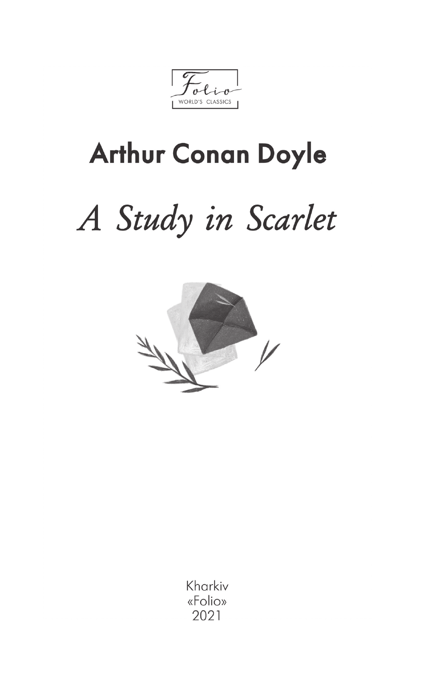WORLD'S CLASSICS

## **Arthur Conan Doyle**

# A Study in Scarlet



Kharkiv «Folio» 2021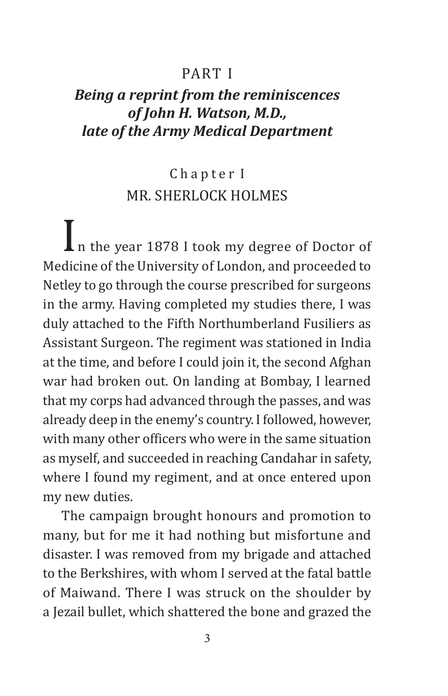#### PART I

#### *Being a reprint from the reminiscences of John H. Watson, M.D., late of the Army Medical Department*

#### Chapter I MR. SHERLOCK HOLMES

 $\prod_{n=1}^{\infty}$  n the year 1878 I took my degree of Doctor of Medicine of the University of London, and proceeded to Netley to go through the course prescribed for surgeons in the army. Having completed my studies there, I was duly attached to the Fifth Northumberland Fusiliers as Assistant Surgeon. The regiment was stationed in India at the time, and before I could join it, the second Afghan war had broken out. On landing at Bombay, I learned that my corps had advanced through the passes, and was already deep in the enemy's country. I followed, however, with many other officers who were in the same situation as myself, and succeeded in reaching Candahar in safety, where I found my regiment, and at once entered upon my new duties.

The campaign brought honours and promotion to many, but for me it had nothing but misfortune and disaster. I was removed from my brigade and attached to the Berkshires, with whom I served at the fatal battle of Maiwand. There I was struck on the shoulder by a Jezail bullet, which shattered the bone and grazed the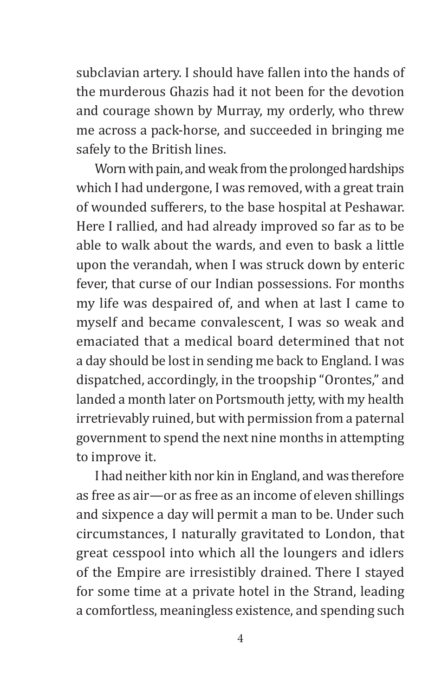subclavian artery. I should have fallen into the hands of the murderous Ghazis had it not been for the devotion and courage shown by Murray, my orderly, who threw me across a pack-horse, and succeeded in bringing me safely to the British lines.

Worn with pain, and weak from the prolonged hardships which I had undergone, I was removed, with a great train of wounded sufferers, to the base hospital at Peshawar. Here I rallied, and had already improved so far as to be able to walk about the wards, and even to bask a little upon the verandah, when I was struck down by enteric fever, that curse of our Indian possessions. For months my life was despaired of, and when at last I came to myself and became convalescent, I was so weak and emaciated that a medical board determined that not a day should be lost in sending me back to England. I was dispatched, accordingly, in the troopship "Orontes," and landed a month later on Portsmouth jetty, with my health irretrievably ruined, but with permission from a paternal government to spend the next nine months in attempting to improve it.

I had neither kith nor kin in England, and was therefore as free as air—or as free as an income of eleven shillings and sixpence a day will permit a man to be. Under such circumstances, I naturally gravitated to London, that great cesspool into which all the loungers and idlers of the Empire are irresistibly drained. There I stayed for some time at a private hotel in the Strand, leading a comfortless, meaningless existence, and spending such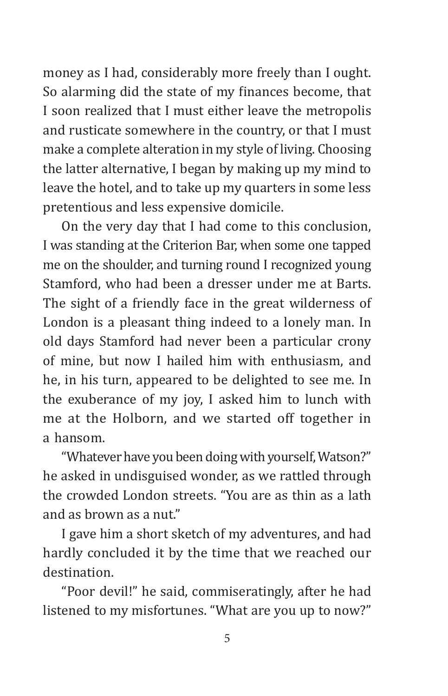money as I had, considerably more freely than I ought. So alarming did the state of my finances become, that I soon realized that I must either leave the metropolis and rusticate somewhere in the country, or that I must make a complete alteration in my style of living. Choosing the latter alternative, I began by making up my mind to leave the hotel, and to take up my quarters in some less pretentious and less expensive domicile.

On the very day that I had come to this conclusion, I was standing at the Criterion Bar, when some one tapped me on the shoulder, and turning round I recognized young Stamford, who had been a dresser under me at Barts. The sight of a friendly face in the great wilderness of London is a pleasant thing indeed to a lonely man. In old days Stamford had never been a particular crony of mine, but now I hailed him with enthusiasm, and he, in his turn, appeared to be delighted to see me. In the exuberance of my joy, I asked him to lunch with me at the Holborn, and we started off together in a hansom.

"Whatever have you been doing with yourself, Watson?" he asked in undisguised wonder, as we rattled through the crowded London streets. "You are as thin as a lath and as brown as a nut."

I gave him a short sketch of my adventures, and had hardly concluded it by the time that we reached our destination.

"Poor devil!" he said, commiseratingly, after he had listened to my misfortunes. "What are you up to now?"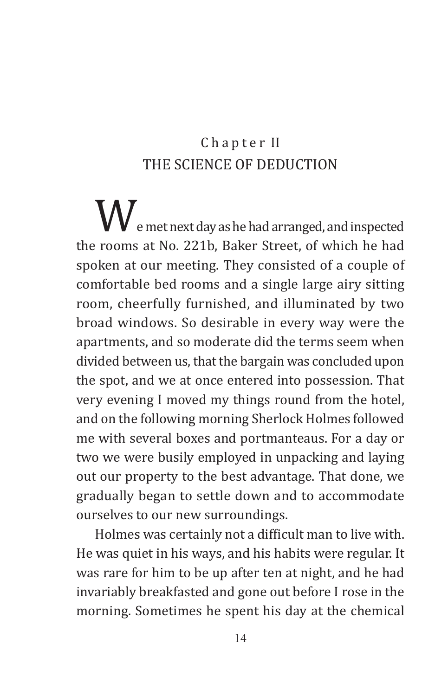#### Chapter II THE SCIENCE OF DEDUCTION

We met next day as he had arranged, and inspected the rooms at No. 221b, Baker Street, of which he had spoken at our meeting. They consisted of a couple of comfortable bed rooms and a single large airy sitting room, cheerfully furnished, and illuminated by two broad windows. So desirable in every way were the apartments, and so moderate did the terms seem when divided between us, that the bargain was concluded upon the spot, and we at once entered into possession. That very evening I moved my things round from the hotel, and on the following morning Sherlock Holmes followed me with several boxes and portmanteaus. For a day or two we were busily employed in unpacking and laying out our property to the best advantage. That done, we gradually began to settle down and to accommodate ourselves to our new surroundings.

Holmes was certainly not a difficult man to live with. He was quiet in his ways, and his habits were regular. It was rare for him to be up after ten at night, and he had invariably breakfasted and gone out before I rose in the morning. Sometimes he spent his day at the chemical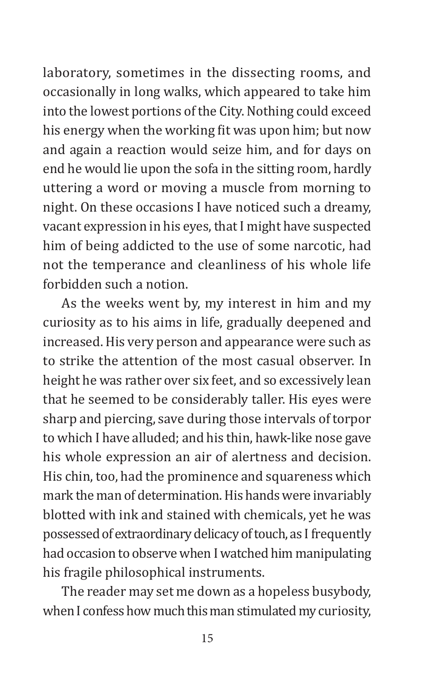laboratory, sometimes in the dissecting rooms, and occasionally in long walks, which appeared to take him into the lowest portions of the City. Nothing could exceed his energy when the working fit was upon him; but now and again a reaction would seize him, and for days on end he would lie upon the sofa in the sitting room, hardly uttering a word or moving a muscle from morning to night. On these occasions I have noticed such a dreamy, vacant expression in his eyes, that I might have suspected him of being addicted to the use of some narcotic, had not the temperance and cleanliness of his whole life forbidden such a notion.

As the weeks went by, my interest in him and my curiosity as to his aims in life, gradually deepened and increased. His very person and appearance were such as to strike the attention of the most casual observer. In height he was rather over six feet, and so excessively lean that he seemed to be considerably taller. His eyes were sharp and piercing, save during those intervals of torpor to which I have alluded; and his thin, hawk-like nose gave his whole expression an air of alertness and decision. His chin, too, had the prominence and squareness which mark the man of determination. His hands were invariably blotted with ink and stained with chemicals, yet he was possessed of extraordinary delicacy of touch, as I frequently had occasion to observe when I watched him manipulating his fragile philosophical instruments.

The reader may set me down as a hopeless busybody, when I confess how much this man stimulated my curiosity,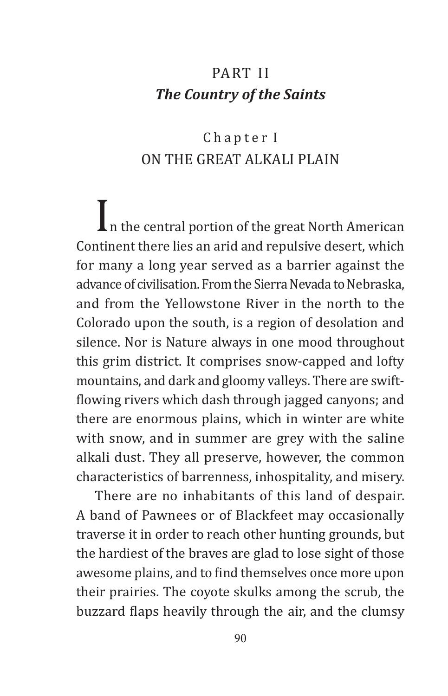#### Part II *The Country of the Saints*

#### Chapter I ON THE GREAT ALKALI PLAIN

 $\prod_{n=1}^{\infty}$  in the central portion of the great North American Continent there lies an arid and repulsive desert, which for many a long year served as a barrier against the advance of civilisation. From the Sierra Nevada to Nebraska, and from the Yellowstone River in the north to the Colorado upon the south, is a region of desolation and silence. Nor is Nature always in one mood throughout this grim district. It comprises snow-capped and lofty mountains, and dark and gloomy valleys. There are swiftflowing rivers which dash through jagged canyons; and there are enormous plains, which in winter are white with snow, and in summer are grey with the saline alkali dust. They all preserve, however, the common characteristics of barrenness, inhospitality, and misery.

There are no inhabitants of this land of despair. A band of Pawnees or of Blackfeet may occasionally traverse it in order to reach other hunting grounds, but the hardiest of the braves are glad to lose sight of those awesome plains, and to find themselves once more upon their prairies. The coyote skulks among the scrub, the buzzard flaps heavily through the air, and the clumsy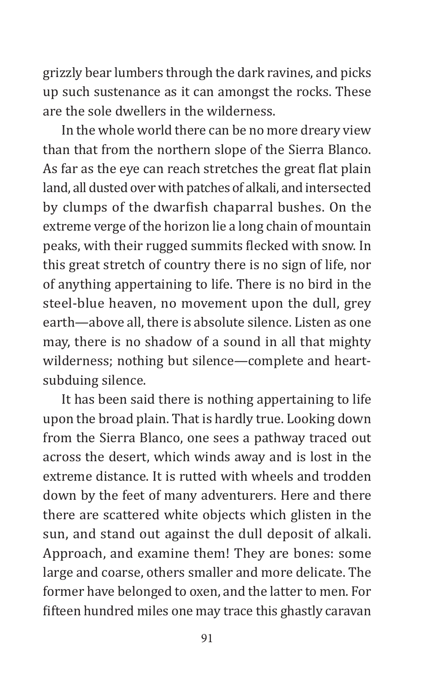grizzly bear lumbers through the dark ravines, and picks up such sustenance as it can amongst the rocks. These are the sole dwellers in the wilderness.

In the whole world there can be no more dreary view than that from the northern slope of the Sierra Blanco. As far as the eye can reach stretches the great flat plain land, all dusted over with patches of alkali, and intersected by clumps of the dwarfish chaparral bushes. On the extreme verge of the horizon lie a long chain of mountain peaks, with their rugged summits flecked with snow. In this great stretch of country there is no sign of life, nor of anything appertaining to life. There is no bird in the steel-blue heaven, no movement upon the dull, grey earth—above all, there is absolute silence. Listen as one may, there is no shadow of a sound in all that mighty wilderness; nothing but silence—complete and heartsubduing silence.

It has been said there is nothing appertaining to life upon the broad plain. That is hardly true. Looking down from the Sierra Blanco, one sees a pathway traced out across the desert, which winds away and is lost in the extreme distance. It is rutted with wheels and trodden down by the feet of many adventurers. Here and there there are scattered white objects which glisten in the sun, and stand out against the dull deposit of alkali. Approach, and examine them! They are bones: some large and coarse, others smaller and more delicate. The former have belonged to oxen, and the latter to men. For fifteen hundred miles one may trace this ghastly caravan